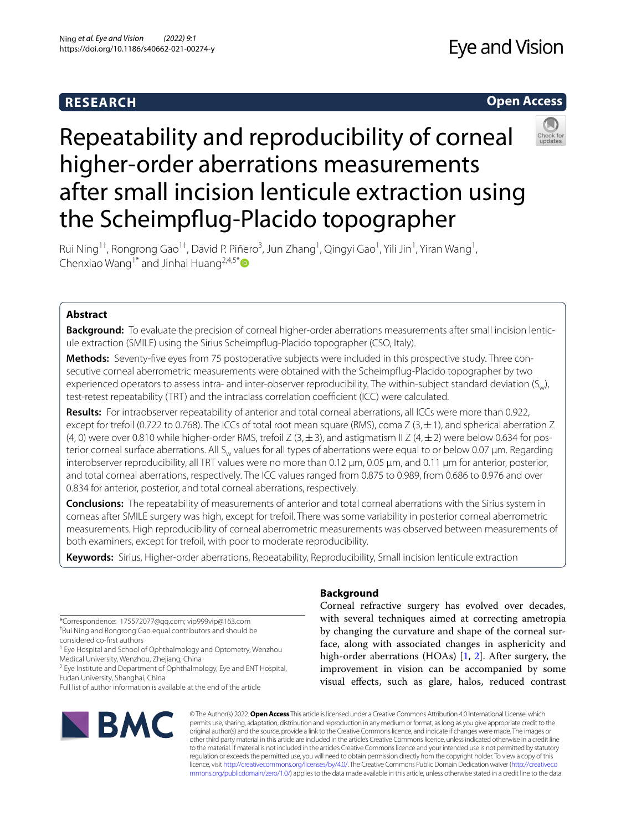## **RESEARCH**

## **Open Access**



# Repeatability and reproducibility of corneal higher-order aberrations measurements after small incision lenticule extraction using the Scheimpfug-Placido topographer

Rui Ning<sup>1†</sup>, Rongrong Gao<sup>1†</sup>, David P. Piñero<sup>3</sup>, Jun Zhang<sup>1</sup>, Qingyi Gao<sup>1</sup>, Yili Jin<sup>1</sup>, Yiran Wang<sup>1</sup>, Chenxiao Wang<sup>1[\\*](http://orcid.org/0000-0001-9952-3175)</sup> and Jinhai Huang<sup>2,4,5\*</sup>

## **Abstract**

**Background:** To evaluate the precision of corneal higher-order aberrations measurements after small incision lenticule extraction (SMILE) using the Sirius Scheimpfug-Placido topographer (CSO, Italy).

**Methods:** Seventy-fve eyes from 75 postoperative subjects were included in this prospective study. Three consecutive corneal aberrometric measurements were obtained with the Scheimpfug-Placido topographer by two experienced operators to assess intra- and inter-observer reproducibility. The within-subject standard deviation  $(S_{\omega})$ , test-retest repeatability (TRT) and the intraclass correlation coefficient (ICC) were calculated.

**Results:** For intraobserver repeatability of anterior and total corneal aberrations, all ICCs were more than 0.922, except for trefoil (0.722 to 0.768). The ICCs of total root mean square (RMS), coma Z (3,  $\pm$  1), and spherical aberration Z (4, 0) were over 0.810 while higher-order RMS, trefoil Z (3,  $\pm$  3), and astigmatism II Z (4,  $\pm$  2) were below 0.634 for posterior corneal surface aberrations. All S<sub>w</sub> values for all types of aberrations were equal to or below 0.07 μm. Regarding interobserver reproducibility, all TRT values were no more than 0.12 μm, 0.05 μm, and 0.11 μm for anterior, posterior, and total corneal aberrations, respectively. The ICC values ranged from 0.875 to 0.989, from 0.686 to 0.976 and over 0.834 for anterior, posterior, and total corneal aberrations, respectively.

**Conclusions:** The repeatability of measurements of anterior and total corneal aberrations with the Sirius system in corneas after SMILE surgery was high, except for trefoil. There was some variability in posterior corneal aberrometric measurements. High reproducibility of corneal aberrometric measurements was observed between measurements of both examiners, except for trefoil, with poor to moderate reproducibility.

**Keywords:** Sirius, Higher-order aberrations, Repeatability, Reproducibility, Small incision lenticule extraction

\*Correspondence: 175572077@qq.com; vip999vip@163.com † Rui Ning and Rongrong Gao equal contributors and should be considered co-frst authors

<sup>1</sup> Eye Hospital and School of Ophthalmology and Optometry, Wenzhou Medical University, Wenzhou, Zhejiang, China

<sup>2</sup> Eye Institute and Department of Ophthalmology, Eye and ENT Hospital, Fudan University, Shanghai, China

Full list of author information is available at the end of the article



## **Background**

Corneal refractive surgery has evolved over decades, with several techniques aimed at correcting ametropia by changing the curvature and shape of the corneal surface, along with associated changes in asphericity and high-order aberrations (HOAs) [[1,](#page-7-0) [2](#page-7-1)]. After surgery, the improvement in vision can be accompanied by some visual efects, such as glare, halos, reduced contrast

© The Author(s) 2022. **Open Access** This article is licensed under a Creative Commons Attribution 4.0 International License, which permits use, sharing, adaptation, distribution and reproduction in any medium or format, as long as you give appropriate credit to the original author(s) and the source, provide a link to the Creative Commons licence, and indicate if changes were made. The images or other third party material in this article are included in the article's Creative Commons licence, unless indicated otherwise in a credit line to the material. If material is not included in the article's Creative Commons licence and your intended use is not permitted by statutory regulation or exceeds the permitted use, you will need to obtain permission directly from the copyright holder. To view a copy of this licence, visit [http://creativecommons.org/licenses/by/4.0/.](http://creativecommons.org/licenses/by/4.0/) The Creative Commons Public Domain Dedication waiver ([http://creativeco](http://creativecommons.org/publicdomain/zero/1.0/) [mmons.org/publicdomain/zero/1.0/](http://creativecommons.org/publicdomain/zero/1.0/)) applies to the data made available in this article, unless otherwise stated in a credit line to the data.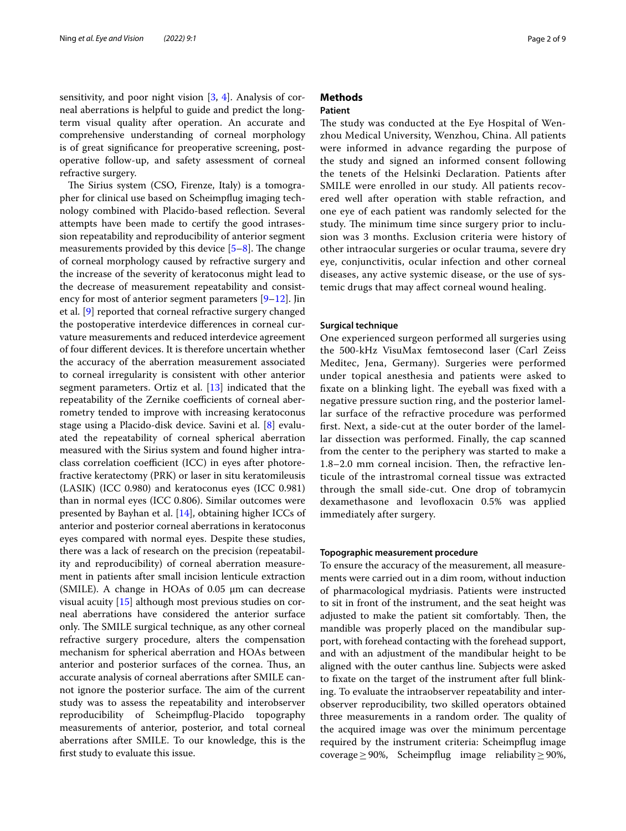sensitivity, and poor night vision [\[3](#page-7-2), [4\]](#page-7-3). Analysis of corneal aberrations is helpful to guide and predict the longterm visual quality after operation. An accurate and comprehensive understanding of corneal morphology is of great signifcance for preoperative screening, postoperative follow-up, and safety assessment of corneal refractive surgery.

The Sirius system (CSO, Firenze, Italy) is a tomographer for clinical use based on Scheimpfug imaging technology combined with Placido-based refection. Several attempts have been made to certify the good intrasession repeatability and reproducibility of anterior segment measurements provided by this device  $[5-8]$  $[5-8]$ . The change of corneal morphology caused by refractive surgery and the increase of the severity of keratoconus might lead to the decrease of measurement repeatability and consist-ency for most of anterior segment parameters [[9–](#page-7-6)[12](#page-7-7)]. Jin et al. [[9\]](#page-7-6) reported that corneal refractive surgery changed the postoperative interdevice diferences in corneal curvature measurements and reduced interdevice agreement of four diferent devices. It is therefore uncertain whether the accuracy of the aberration measurement associated to corneal irregularity is consistent with other anterior segment parameters. Ortiz et al. [[13](#page-7-8)] indicated that the repeatability of the Zernike coefficients of corneal aberrometry tended to improve with increasing keratoconus stage using a Placido-disk device. Savini et al. [[8\]](#page-7-5) evaluated the repeatability of corneal spherical aberration measured with the Sirius system and found higher intraclass correlation coefficient (ICC) in eyes after photorefractive keratectomy (PRK) or laser in situ keratomileusis (LASIK) (ICC 0.980) and keratoconus eyes (ICC 0.981) than in normal eyes (ICC 0.806). Similar outcomes were presented by Bayhan et al. [\[14](#page-7-9)], obtaining higher ICCs of anterior and posterior corneal aberrations in keratoconus eyes compared with normal eyes. Despite these studies, there was a lack of research on the precision (repeatability and reproducibility) of corneal aberration measurement in patients after small incision lenticule extraction (SMILE). A change in HOAs of 0.05 μm can decrease visual acuity [[15](#page-7-10)] although most previous studies on corneal aberrations have considered the anterior surface only. The SMILE surgical technique, as any other corneal refractive surgery procedure, alters the compensation mechanism for spherical aberration and HOAs between anterior and posterior surfaces of the cornea. Thus, an accurate analysis of corneal aberrations after SMILE cannot ignore the posterior surface. The aim of the current study was to assess the repeatability and interobserver reproducibility of Scheimpfug-Placido topography measurements of anterior, posterior, and total corneal aberrations after SMILE. To our knowledge, this is the frst study to evaluate this issue.

## **Methods**

## **Patient**

The study was conducted at the Eye Hospital of Wenzhou Medical University, Wenzhou, China. All patients were informed in advance regarding the purpose of the study and signed an informed consent following the tenets of the Helsinki Declaration. Patients after SMILE were enrolled in our study. All patients recovered well after operation with stable refraction, and one eye of each patient was randomly selected for the study. The minimum time since surgery prior to inclusion was 3 months. Exclusion criteria were history of other intraocular surgeries or ocular trauma, severe dry eye, conjunctivitis, ocular infection and other corneal diseases, any active systemic disease, or the use of systemic drugs that may afect corneal wound healing.

## **Surgical technique**

One experienced surgeon performed all surgeries using the 500-kHz VisuMax femtosecond laser (Carl Zeiss Meditec, Jena, Germany). Surgeries were performed under topical anesthesia and patients were asked to fixate on a blinking light. The eyeball was fixed with a negative pressure suction ring, and the posterior lamellar surface of the refractive procedure was performed frst. Next, a side-cut at the outer border of the lamellar dissection was performed. Finally, the cap scanned from the center to the periphery was started to make a  $1.8-2.0$  mm corneal incision. Then, the refractive lenticule of the intrastromal corneal tissue was extracted through the small side-cut. One drop of tobramycin dexamethasone and levofoxacin 0.5% was applied immediately after surgery.

## **Topographic measurement procedure**

To ensure the accuracy of the measurement, all measurements were carried out in a dim room, without induction of pharmacological mydriasis. Patients were instructed to sit in front of the instrument, and the seat height was adjusted to make the patient sit comfortably. Then, the mandible was properly placed on the mandibular support, with forehead contacting with the forehead support, and with an adjustment of the mandibular height to be aligned with the outer canthus line. Subjects were asked to fxate on the target of the instrument after full blinking. To evaluate the intraobserver repeatability and interobserver reproducibility, two skilled operators obtained three measurements in a random order. The quality of the acquired image was over the minimum percentage required by the instrument criteria: Scheimpfug image coverage≥90%, Scheimpfug image reliability≥90%,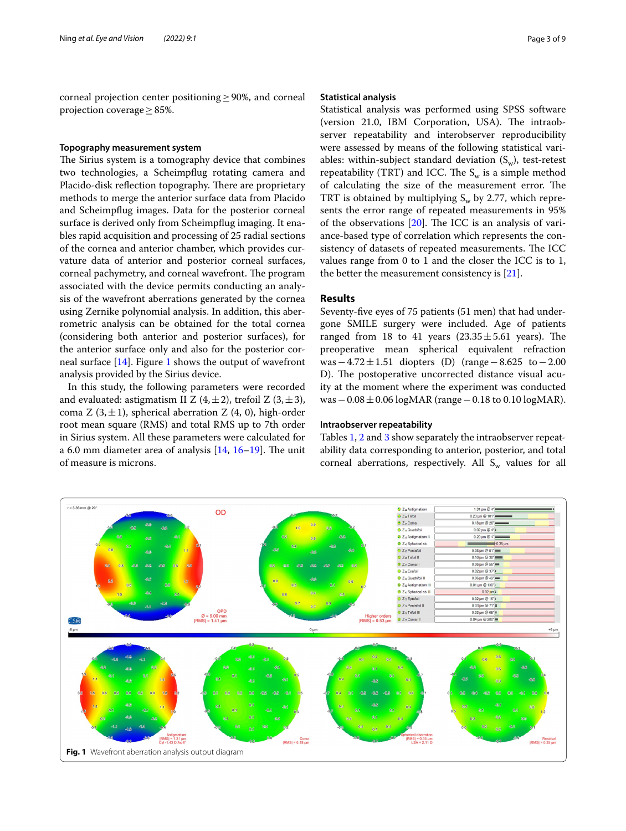corneal projection center positioning≥90%, and corneal projection coverage≥85%.

## **Topography measurement system**

The Sirius system is a tomography device that combines two technologies, a Scheimpfug rotating camera and Placido-disk reflection topography. There are proprietary methods to merge the anterior surface data from Placido and Scheimpfug images. Data for the posterior corneal surface is derived only from Scheimpfug imaging. It enables rapid acquisition and processing of 25 radial sections of the cornea and anterior chamber, which provides curvature data of anterior and posterior corneal surfaces, corneal pachymetry, and corneal wavefront. The program associated with the device permits conducting an analysis of the wavefront aberrations generated by the cornea using Zernike polynomial analysis. In addition, this aberrometric analysis can be obtained for the total cornea (considering both anterior and posterior surfaces), for the anterior surface only and also for the posterior corneal surface  $[14]$  $[14]$ . Figure [1](#page-2-0) shows the output of wavefront analysis provided by the Sirius device.

In this study, the following parameters were recorded and evaluated: astigmatism II Z  $(4, \pm 2)$ , trefoil Z  $(3, \pm 3)$ , coma Z  $(3, \pm 1)$ , spherical aberration Z  $(4, 0)$ , high-order root mean square (RMS) and total RMS up to 7th order in Sirius system. All these parameters were calculated for a 6.0 mm diameter area of analysis  $[14, 16-19]$  $[14, 16-19]$  $[14, 16-19]$  $[14, 16-19]$  $[14, 16-19]$ . The unit of measure is microns.

## **Statistical analysis**

Statistical analysis was performed using SPSS software (version 21.0, IBM Corporation, USA). The intraobserver repeatability and interobserver reproducibility were assessed by means of the following statistical variables: within-subject standard deviation  $(S_w)$ , test-retest repeatability (TRT) and ICC. The  $S_w$  is a simple method of calculating the size of the measurement error. The TRT is obtained by multiplying  $S_w$  by 2.77, which represents the error range of repeated measurements in 95% of the observations  $[20]$  $[20]$ . The ICC is an analysis of variance-based type of correlation which represents the consistency of datasets of repeated measurements. The ICC values range from 0 to 1 and the closer the ICC is to 1, the better the measurement consistency is  $[21]$ .

## **Results**

Seventy-fve eyes of 75 patients (51 men) that had undergone SMILE surgery were included. Age of patients ranged from 18 to 41 years  $(23.35 \pm 5.61$  years). The preoperative mean spherical equivalent refraction was−4.72 $\pm$ 1.51 diopters (D) (range−8.625 to−2.00 D). The postoperative uncorrected distance visual acuity at the moment where the experiment was conducted was−0.08±0.06 logMAR (range−0.18 to 0.10 logMAR).

## **Intraobserver repeatability**

Tables [1](#page-3-0), [2](#page-3-1) and [3](#page-4-0) show separately the intraobserver repeatability data corresponding to anterior, posterior, and total corneal aberrations, respectively. All  $S_w$  values for all

<span id="page-2-0"></span>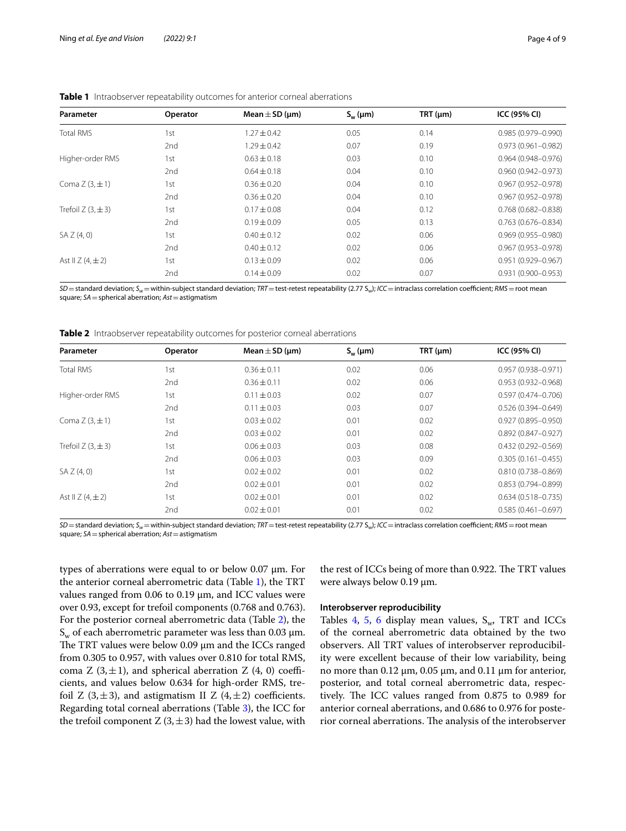| Parameter                | Operator        | Mean $\pm$ SD (µm) | $S_{w}(\mu m)$ | TRT (µm) | ICC (95% CI)           |
|--------------------------|-----------------|--------------------|----------------|----------|------------------------|
| <b>Total RMS</b>         | 1st             | $1.27 \pm 0.42$    | 0.05           | 0.14     | $0.985(0.979 - 0.990)$ |
|                          | 2 <sub>nd</sub> | $1.29 \pm 0.42$    | 0.07           | 0.19     | $0.973(0.961 - 0.982)$ |
| Higher-order RMS         | 1st             | $0.63 \pm 0.18$    | 0.03           | 0.10     | $0.964(0.948 - 0.976)$ |
|                          | 2 <sub>nd</sub> | $0.64 \pm 0.18$    | 0.04           | 0.10     | $0.960(0.942 - 0.973)$ |
| Coma $Z(3,\pm 1)$        | 1st             | $0.36 \pm 0.20$    | 0.04           | 0.10     | $0.967(0.952 - 0.978)$ |
|                          | 2nd             | $0.36 \pm 0.20$    | 0.04           | 0.10     | $0.967(0.952 - 0.978)$ |
| Trefoil $Z$ (3, $\pm$ 3) | 1st             | $0.17 \pm 0.08$    | 0.04           | 0.12     | $0.768(0.682 - 0.838)$ |
|                          | 2 <sub>nd</sub> | $0.19 \pm 0.09$    | 0.05           | 0.13     | $0.763(0.676 - 0.834)$ |
| SAZ(4,0)                 | 1st             | $0.40 \pm 0.12$    | 0.02           | 0.06     | $0.969(0.955 - 0.980)$ |
|                          | 2 <sub>nd</sub> | $0.40 \pm 0.12$    | 0.02           | 0.06     | $0.967(0.953 - 0.978)$ |
| Ast II $Z$ (4, $\pm$ 2)  | 1st             | $0.13 \pm 0.09$    | 0.02           | 0.06     | $0.951(0.929 - 0.967)$ |
|                          | 2 <sub>nd</sub> | $0.14 \pm 0.09$    | 0.02           | 0.07     | $0.931(0.900 - 0.953)$ |

## <span id="page-3-0"></span>**Table 1** Intraobserver repeatability outcomes for anterior corneal aberrations

 $SD$ =standard deviation;  $S_w$ =within-subject standard deviation; *TRT* = test-retest repeatability (2.77  $S_w$ ); *ICC* = intraclass correlation coefficient; *RMS* = root mean square; *SA*=spherical aberration; *Ast*=astigmatism

<span id="page-3-1"></span>**Table 2** Intraobserver repeatability outcomes for posterior corneal aberrations

| Parameter                | Operator        | Mean $\pm$ SD (µm) | $S_w(\mu m)$ | TRT (µm) | ICC (95% CI)           |
|--------------------------|-----------------|--------------------|--------------|----------|------------------------|
| <b>Total RMS</b>         | 1st             | $0.36 \pm 0.11$    | 0.02         | 0.06     | $0.957(0.938 - 0.971)$ |
|                          | 2 <sub>nd</sub> | $0.36 \pm 0.11$    | 0.02         | 0.06     | $0.953(0.932 - 0.968)$ |
| Higher-order RMS         | 1st             | $0.11 \pm 0.03$    | 0.02         | 0.07     | $0.597(0.474 - 0.706)$ |
|                          | 2 <sub>nd</sub> | $0.11 \pm 0.03$    | 0.03         | 0.07     | $0.526(0.394 - 0.649)$ |
| Coma $Z(3,\pm 1)$        | 1st             | $0.03 \pm 0.02$    | 0.01         | 0.02     | $0.927(0.895 - 0.950)$ |
|                          | 2 <sub>nd</sub> | $0.03 \pm 0.02$    | 0.01         | 0.02     | $0.892(0.847 - 0.927)$ |
| Trefoil $Z$ (3, $\pm$ 3) | 1st             | $0.06 \pm 0.03$    | 0.03         | 0.08     | $0.432(0.292 - 0.569)$ |
|                          | 2 <sub>nd</sub> | $0.06 \pm 0.03$    | 0.03         | 0.09     | $0.305(0.161 - 0.455)$ |
| SAZ(4,0)                 | 1st             | $0.02 \pm 0.02$    | 0.01         | 0.02     | $0.810(0.738 - 0.869)$ |
|                          | 2 <sub>nd</sub> | $0.02 \pm 0.01$    | 0.01         | 0.02     | $0.853(0.794 - 0.899)$ |
| Ast II $Z$ (4, $\pm$ 2)  | 1st             | $0.02 \pm 0.01$    | 0.01         | 0.02     | $0.634(0.518 - 0.735)$ |
|                          | 2 <sub>nd</sub> | $0.02 \pm 0.01$    | 0.01         | 0.02     | $0.585(0.461 - 0.697)$ |

*SD* = standard deviation; *S<sub>w</sub>* = within-subject standard deviation; *TRT* = test-retest repeatability (2.77 S<sub>w</sub>); *ICC* = intraclass correlation coefficient; *RMS* = root mean square; *SA*=spherical aberration; *Ast*=astigmatism

types of aberrations were equal to or below 0.07 μm. For the anterior corneal aberrometric data (Table [1](#page-3-0)), the TRT values ranged from 0.06 to 0.19 μm, and ICC values were over 0.93, except for trefoil components (0.768 and 0.763). For the posterior corneal aberrometric data (Table [2\)](#page-3-1), the  $S_w$  of each aberrometric parameter was less than 0.03  $\mu$ m. The TRT values were below  $0.09 \mu m$  and the ICCs ranged from 0.305 to 0.957, with values over 0.810 for total RMS, coma Z  $(3, \pm 1)$ , and spherical aberration Z  $(4, 0)$  coefficients, and values below 0.634 for high-order RMS, trefoil Z  $(3, \pm 3)$ , and astigmatism II Z  $(4, \pm 2)$  coefficients. Regarding total corneal aberrations (Table [3\)](#page-4-0), the ICC for the trefoil component  $Z(3, \pm 3)$  had the lowest value, with

the rest of ICCs being of more than 0.922. The TRT values were always below 0.19 μm.

## **Interobserver reproducibility**

Tables [4,](#page-4-1) [5](#page-4-2), [6](#page-5-0) display mean values,  $S_w$ , TRT and ICCs of the corneal aberrometric data obtained by the two observers. All TRT values of interobserver reproducibility were excellent because of their low variability, being no more than 0.12 μm, 0.05 μm, and 0.11 μm for anterior, posterior, and total corneal aberrometric data, respectively. The ICC values ranged from  $0.875$  to  $0.989$  for anterior corneal aberrations, and 0.686 to 0.976 for posterior corneal aberrations. The analysis of the interobserver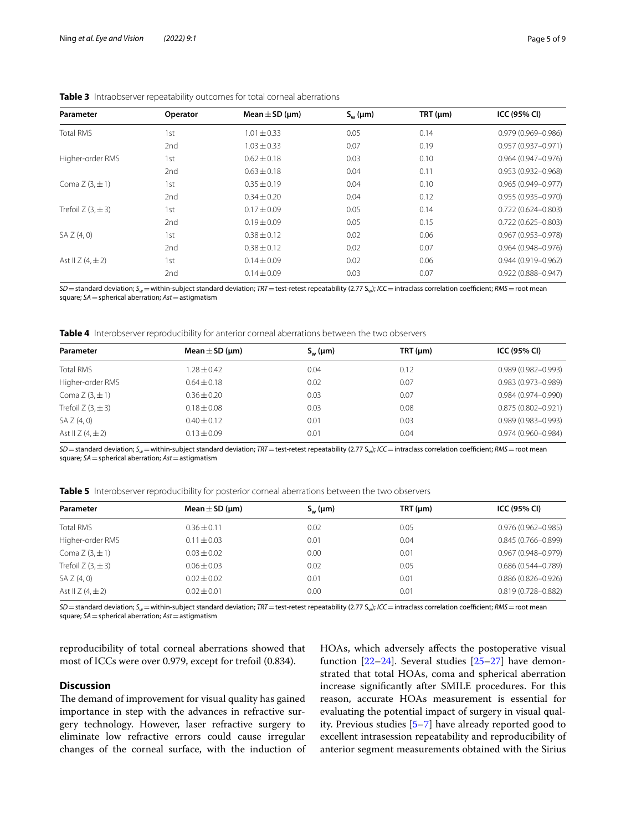| Parameter                | Operator        | Mean $\pm$ SD ( $\mu$ m) | $S_{w}(\mu m)$ | TRT (µm) | <b>ICC (95% CI)</b>    |
|--------------------------|-----------------|--------------------------|----------------|----------|------------------------|
| <b>Total RMS</b>         | 1st             | $1.01 \pm 0.33$          | 0.05           | 0.14     | $0.979(0.969 - 0.986)$ |
|                          | 2 <sub>nd</sub> | $1.03 \pm 0.33$          | 0.07           | 0.19     | $0.957(0.937 - 0.971)$ |
| Higher-order RMS         | 1st             | $0.62 \pm 0.18$          | 0.03           | 0.10     | $0.964(0.947 - 0.976)$ |
|                          | 2 <sub>nd</sub> | $0.63 \pm 0.18$          | 0.04           | 0.11     | $0.953(0.932 - 0.968)$ |
| Coma $Z(3,\pm 1)$        | 1st             | $0.35 \pm 0.19$          | 0.04           | 0.10     | $0.965(0.949 - 0.977)$ |
|                          | 2nd             | $0.34 \pm 0.20$          | 0.04           | 0.12     | $0.955(0.935 - 0.970)$ |
| Trefoil $Z$ (3, $\pm$ 3) | 1st             | $0.17 \pm 0.09$          | 0.05           | 0.14     | $0.722(0.624 - 0.803)$ |
|                          | 2nd             | $0.19 \pm 0.09$          | 0.05           | 0.15     | $0.722(0.625 - 0.803)$ |
| SAZ(4,0)                 | 1st             | $0.38 \pm 0.12$          | 0.02           | 0.06     | $0.967(0.953 - 0.978)$ |
|                          | 2nd             | $0.38 \pm 0.12$          | 0.02           | 0.07     | $0.964(0.948 - 0.976)$ |
| Ast II $Z$ (4, $\pm$ 2)  | 1st             | $0.14 \pm 0.09$          | 0.02           | 0.06     | $0.944(0.919 - 0.962)$ |
|                          | 2 <sub>nd</sub> | $0.14 \pm 0.09$          | 0.03           | 0.07     | $0.922(0.888 - 0.947)$ |

## <span id="page-4-0"></span>**Table 3** Intraobserver repeatability outcomes for total corneal aberrations

 $SD$ =standard deviation;  $S_w$ =within-subject standard deviation; *TRT* = test-retest repeatability (2.77  $S_w$ ); *ICC* = intraclass correlation coefficient; *RMS* = root mean square; *SA*=spherical aberration; *Ast*=astigmatism

<span id="page-4-1"></span>**Table 4** Interobserver reproducibility for anterior corneal aberrations between the two observers

| Parameter               | Mean $\pm$ SD (µm) | $S_{w}(\mu m)$ | TRT (µm) | ICC (95% CI)           |
|-------------------------|--------------------|----------------|----------|------------------------|
| <b>Total RMS</b>        | $1.28 \pm 0.42$    | 0.04           | 0.12     | $0.989(0.982 - 0.993)$ |
| Higher-order RMS        | $0.64 \pm 0.18$    | 0.02           | 0.07     | $0.983(0.973 - 0.989)$ |
| Coma $Z(3,\pm 1)$       | $0.36 \pm 0.20$    | 0.03           | 0.07     | $0.984(0.974 - 0.990)$ |
| Trefoil Z $(3, \pm 3)$  | $0.18 + 0.08$      | 0.03           | 0.08     | $0.875(0.802 - 0.921)$ |
| SAZ(4,0)                | $0.40 \pm 0.12$    | 0.01           | 0.03     | $0.989(0.983 - 0.993)$ |
| Ast II $Z$ (4, $\pm$ 2) | $0.13 \pm 0.09$    | 0.01           | 0.04     | $0.974(0.960 - 0.984)$ |

*SD*=standard deviation; *Sw*=within-subject standard deviation; *TRT*=test-retest repeatability (2.77 Sw); *ICC*=intraclass correlation coefcient; *RMS*=root mean square; *SA*=spherical aberration; *Ast*=astigmatism

<span id="page-4-2"></span>**Table 5** Interobserver reproducibility for posterior corneal aberrations between the two observers

| Parameter               | Mean $\pm$ SD (µm) | $S_{w}$ (µm) | TRT (µm) | ICC (95% CI)           |
|-------------------------|--------------------|--------------|----------|------------------------|
| <b>Total RMS</b>        | $0.36 \pm 0.11$    | 0.02         | 0.05     | $0.976(0.962 - 0.985)$ |
| Higher-order RMS        | $0.11 \pm 0.03$    | 0.01         | 0.04     | $0.845(0.766 - 0.899)$ |
| Coma $Z(3,\pm 1)$       | $0.03 + 0.02$      | 0.00         | 0.01     | $0.967(0.948 - 0.979)$ |
| Trefoil Z $(3, \pm 3)$  | $0.06 \pm 0.03$    | 0.02         | 0.05     | $0.686(0.544 - 0.789)$ |
| SAZ(4,0)                | $0.02 + 0.02$      | 0.01         | 0.01     | $0.886(0.826 - 0.926)$ |
| Ast II $Z$ (4, $\pm$ 2) | $0.02 + 0.01$      | 0.00         | 0.01     | $0.819(0.728 - 0.882)$ |
|                         |                    |              |          |                        |

 $SD$  = standard deviation;  $S_w$  = within-subject standard deviation;  $TRT$  = test-retest repeatability (2.77  $S_w$ );  $/$ C = intraclass correlation coefficient;  $RMS$  = root mean square; *SA*=spherical aberration; *Ast*=astigmatism

reproducibility of total corneal aberrations showed that most of ICCs were over 0.979, except for trefoil (0.834).

## **Discussion**

The demand of improvement for visual quality has gained importance in step with the advances in refractive surgery technology. However, laser refractive surgery to eliminate low refractive errors could cause irregular changes of the corneal surface, with the induction of HOAs, which adversely afects the postoperative visual function  $[22-24]$  $[22-24]$  $[22-24]$ . Several studies  $[25-27]$  $[25-27]$  have demonstrated that total HOAs, coma and spherical aberration increase signifcantly after SMILE procedures. For this reason, accurate HOAs measurement is essential for evaluating the potential impact of surgery in visual quality. Previous studies [[5–](#page-7-4)[7](#page-7-11)] have already reported good to excellent intrasession repeatability and reproducibility of anterior segment measurements obtained with the Sirius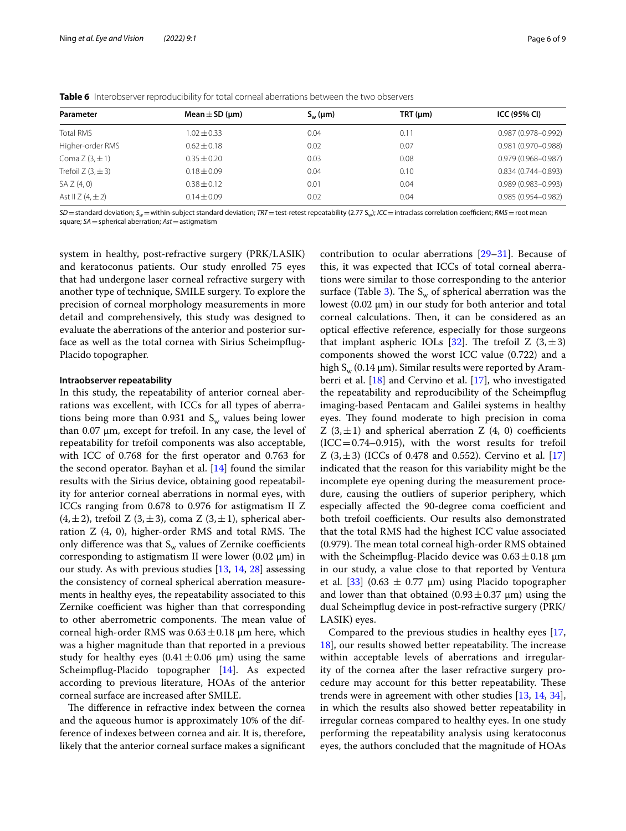| Parameter                | Mean $\pm$ SD (µm) | $S_{w}(\mu m)$ | TRT (µm) | ICC (95% CI)           |  |
|--------------------------|--------------------|----------------|----------|------------------------|--|
| <b>Total RMS</b>         | $1.02 \pm 0.33$    | 0.04           | 0.11     | $0.987(0.978 - 0.992)$ |  |
| Higher-order RMS         | $0.62 \pm 0.18$    | 0.02           | 0.07     | 0.981 (0.970-0.988)    |  |
| Coma $Z(3,\pm 1)$        | $0.35 \pm 0.20$    | 0.03           | 0.08     | $0.979(0.968 - 0.987)$ |  |
| Trefoil $Z$ (3, $\pm$ 3) | $0.18 \pm 0.09$    | 0.04           | 0.10     | $0.834(0.744 - 0.893)$ |  |
| SAZ(4,0)                 | $0.38 \pm 0.12$    | 0.01           | 0.04     | $0.989(0.983 - 0.993)$ |  |
| Ast II $Z$ (4, $\pm$ 2)  | $0.14 \pm 0.09$    | 0.02           | 0.04     | $0.985(0.954 - 0.982)$ |  |
|                          |                    |                |          |                        |  |

<span id="page-5-0"></span>**Table 6** Interobserver reproducibility for total corneal aberrations between the two observers

*SD* = standard deviation;  $S_w$  = within-subject standard deviation; *TRT* = test-retest repeatability (2.77 S<sub>w</sub>); *ICC* = intraclass correlation coefficient; *RMS* = root mean square; *SA*=spherical aberration; *Ast*=astigmatism

system in healthy, post-refractive surgery (PRK/LASIK) and keratoconus patients. Our study enrolled 75 eyes that had undergone laser corneal refractive surgery with another type of technique, SMILE surgery. To explore the precision of corneal morphology measurements in more detail and comprehensively, this study was designed to evaluate the aberrations of the anterior and posterior surface as well as the total cornea with Sirius Scheimpfug-Placido topographer.

#### **Intraobserver repeatability**

In this study, the repeatability of anterior corneal aberrations was excellent, with ICCs for all types of aberrations being more than 0.931 and  $S_w$  values being lower than 0.07 μm, except for trefoil. In any case, the level of repeatability for trefoil components was also acceptable, with ICC of 0.768 for the frst operator and 0.763 for the second operator. Bayhan et al. [\[14](#page-7-9)] found the similar results with the Sirius device, obtaining good repeatability for anterior corneal aberrations in normal eyes, with ICCs ranging from 0.678 to 0.976 for astigmatism II Z  $(4,\pm 2)$ , trefoil Z  $(3,\pm 3)$ , coma Z  $(3,\pm 1)$ , spherical aberration  $Z$  (4, 0), higher-order RMS and total RMS. The only difference was that  $S_w$  values of Zernike coefficients corresponding to astigmatism II were lower (0.02 μm) in our study. As with previous studies [[13,](#page-7-8) [14](#page-7-9), [28](#page-8-8)] assessing the consistency of corneal spherical aberration measurements in healthy eyes, the repeatability associated to this Zernike coefficient was higher than that corresponding to other aberrometric components. The mean value of corneal high-order RMS was  $0.63 \pm 0.18$  µm here, which was a higher magnitude than that reported in a previous study for healthy eyes  $(0.41 \pm 0.06 \mu m)$  using the same Scheimpfug-Placido topographer [\[14](#page-7-9)]. As expected according to previous literature, HOAs of the anterior corneal surface are increased after SMILE.

The difference in refractive index between the cornea and the aqueous humor is approximately 10% of the difference of indexes between cornea and air. It is, therefore, likely that the anterior corneal surface makes a signifcant

contribution to ocular aberrations [\[29](#page-8-9)[–31](#page-8-10)]. Because of this, it was expected that ICCs of total corneal aberrations were similar to those corresponding to the anterior surface (Table [3\)](#page-4-0). The  $S_w$  of spherical aberration was the lowest (0.02 μm) in our study for both anterior and total corneal calculations. Then, it can be considered as an optical efective reference, especially for those surgeons that implant aspheric IOLs [[32](#page-8-11)]. The trefoil Z  $(3,\pm 3)$ components showed the worst ICC value (0.722) and a high  $S_{w}$  (0.14  $\mu$ m). Similar results were reported by Aramberri et al. [\[18\]](#page-8-12) and Cervino et al. [[17\]](#page-8-13), who investigated the repeatability and reproducibility of the Scheimpfug imaging-based Pentacam and Galilei systems in healthy eyes. They found moderate to high precision in coma Z  $(3, \pm 1)$  and spherical aberration Z  $(4, 0)$  coefficients  $(ICC=0.74-0.915)$ , with the worst results for trefoil Z  $(3, \pm 3)$  (ICCs of 0.478 and 0.552). Cervino et al. [[17](#page-8-13)] indicated that the reason for this variability might be the incomplete eye opening during the measurement procedure, causing the outliers of superior periphery, which especially affected the 90-degree coma coefficient and both trefoil coefficients. Our results also demonstrated that the total RMS had the highest ICC value associated (0.979). The mean total corneal high-order RMS obtained with the Scheimpflug-Placido device was  $0.63 \pm 0.18$  µm in our study, a value close to that reported by Ventura et al. [[33\]](#page-8-14) (0.63  $\pm$  0.77  $\mu$ m) using Placido topographer and lower than that obtained  $(0.93 \pm 0.37 \,\mu m)$  using the dual Scheimpfug device in post-refractive surgery (PRK/ LASIK) eyes.

Compared to the previous studies in healthy eyes [[17](#page-8-13), [18\]](#page-8-12), our results showed better repeatability. The increase within acceptable levels of aberrations and irregularity of the cornea after the laser refractive surgery procedure may account for this better repeatability. These trends were in agreement with other studies [\[13](#page-7-8), [14](#page-7-9), [34](#page-8-15)], in which the results also showed better repeatability in irregular corneas compared to healthy eyes. In one study performing the repeatability analysis using keratoconus eyes, the authors concluded that the magnitude of HOAs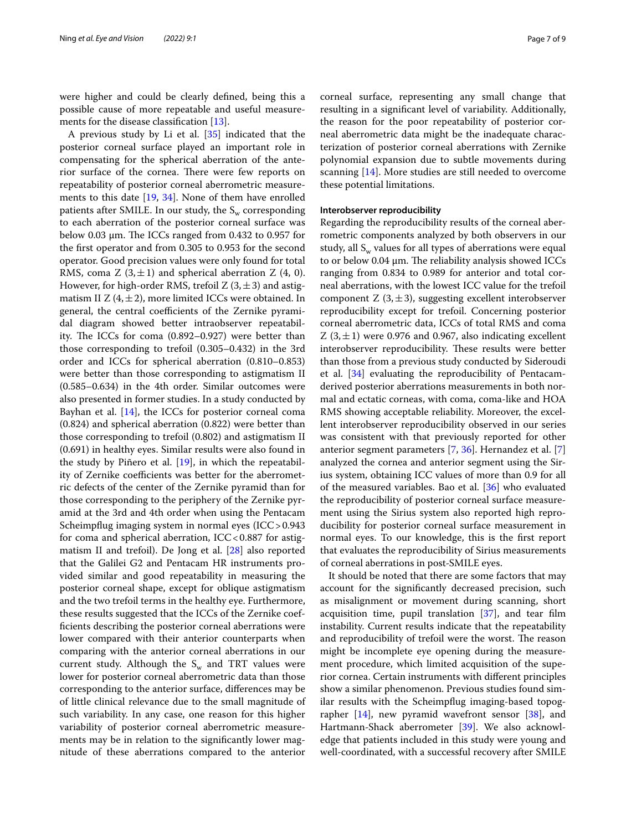were higher and could be clearly defned, being this a possible cause of more repeatable and useful measurements for the disease classifcation [\[13](#page-7-8)].

A previous study by Li et al. [\[35](#page-8-16)] indicated that the posterior corneal surface played an important role in compensating for the spherical aberration of the anterior surface of the cornea. There were few reports on repeatability of posterior corneal aberrometric measurements to this date [\[19,](#page-8-1) [34](#page-8-15)]. None of them have enrolled patients after SMILE. In our study, the  $S_w$  corresponding to each aberration of the posterior corneal surface was below 0.03  $\mu$ m. The ICCs ranged from 0.432 to 0.957 for the frst operator and from 0.305 to 0.953 for the second operator. Good precision values were only found for total RMS, coma Z  $(3, \pm 1)$  and spherical aberration Z  $(4, 0)$ . However, for high-order RMS, trefoil Z  $(3, \pm 3)$  and astigmatism II  $Z$  (4,  $\pm$  2), more limited ICCs were obtained. In general, the central coefficients of the Zernike pyramidal diagram showed better intraobserver repeatability. The ICCs for coma  $(0.892-0.927)$  were better than those corresponding to trefoil (0.305–0.432) in the 3rd order and ICCs for spherical aberration (0.810–0.853) were better than those corresponding to astigmatism II (0.585–0.634) in the 4th order. Similar outcomes were also presented in former studies. In a study conducted by Bayhan et al.  $[14]$  $[14]$ , the ICCs for posterior corneal coma (0.824) and spherical aberration (0.822) were better than those corresponding to trefoil (0.802) and astigmatism II (0.691) in healthy eyes. Similar results were also found in the study by Piñero et al.  $[19]$  $[19]$  $[19]$ , in which the repeatability of Zernike coefficients was better for the aberrometric defects of the center of the Zernike pyramid than for those corresponding to the periphery of the Zernike pyramid at the 3rd and 4th order when using the Pentacam Scheimpfug imaging system in normal eyes (ICC>0.943 for coma and spherical aberration,  $ICC<0.887$  for astigmatism II and trefoil). De Jong et al. [[28](#page-8-8)] also reported that the Galilei G2 and Pentacam HR instruments provided similar and good repeatability in measuring the posterior corneal shape, except for oblique astigmatism and the two trefoil terms in the healthy eye. Furthermore, these results suggested that the ICCs of the Zernike coeffcients describing the posterior corneal aberrations were lower compared with their anterior counterparts when comparing with the anterior corneal aberrations in our current study. Although the  $S_w$  and TRT values were lower for posterior corneal aberrometric data than those corresponding to the anterior surface, diferences may be of little clinical relevance due to the small magnitude of such variability. In any case, one reason for this higher variability of posterior corneal aberrometric measurements may be in relation to the signifcantly lower magnitude of these aberrations compared to the anterior corneal surface, representing any small change that resulting in a signifcant level of variability. Additionally, the reason for the poor repeatability of posterior corneal aberrometric data might be the inadequate characterization of posterior corneal aberrations with Zernike polynomial expansion due to subtle movements during scanning [\[14](#page-7-9)]. More studies are still needed to overcome these potential limitations.

## **Interobserver reproducibility**

Regarding the reproducibility results of the corneal aberrometric components analyzed by both observers in our study, all  $S_w$  values for all types of aberrations were equal to or below  $0.04 \mu$ m. The reliability analysis showed ICCs ranging from 0.834 to 0.989 for anterior and total corneal aberrations, with the lowest ICC value for the trefoil component  $Z(3, \pm 3)$ , suggesting excellent interobserver reproducibility except for trefoil. Concerning posterior corneal aberrometric data, ICCs of total RMS and coma Z  $(3, \pm 1)$  were 0.976 and 0.967, also indicating excellent interobserver reproducibility. These results were better than those from a previous study conducted by Sideroudi et al. [\[34](#page-8-15)] evaluating the reproducibility of Pentacamderived posterior aberrations measurements in both normal and ectatic corneas, with coma, coma-like and HOA RMS showing acceptable reliability. Moreover, the excellent interobserver reproducibility observed in our series was consistent with that previously reported for other anterior segment parameters [\[7](#page-7-11), [36\]](#page-8-17). Hernandez et al. [\[7](#page-7-11)] analyzed the cornea and anterior segment using the Sirius system, obtaining ICC values of more than 0.9 for all of the measured variables. Bao et al. [[36](#page-8-17)] who evaluated the reproducibility of posterior corneal surface measurement using the Sirius system also reported high reproducibility for posterior corneal surface measurement in normal eyes. To our knowledge, this is the frst report that evaluates the reproducibility of Sirius measurements of corneal aberrations in post-SMILE eyes.

It should be noted that there are some factors that may account for the signifcantly decreased precision, such as misalignment or movement during scanning, short acquisition time, pupil translation [\[37\]](#page-8-18), and tear flm instability. Current results indicate that the repeatability and reproducibility of trefoil were the worst. The reason might be incomplete eye opening during the measurement procedure, which limited acquisition of the superior cornea. Certain instruments with diferent principles show a similar phenomenon. Previous studies found similar results with the Scheimpfug imaging-based topographer  $[14]$ , new pyramid wavefront sensor  $[38]$  $[38]$ , and Hartmann-Shack aberrometer [[39\]](#page-8-20). We also acknowledge that patients included in this study were young and well-coordinated, with a successful recovery after SMILE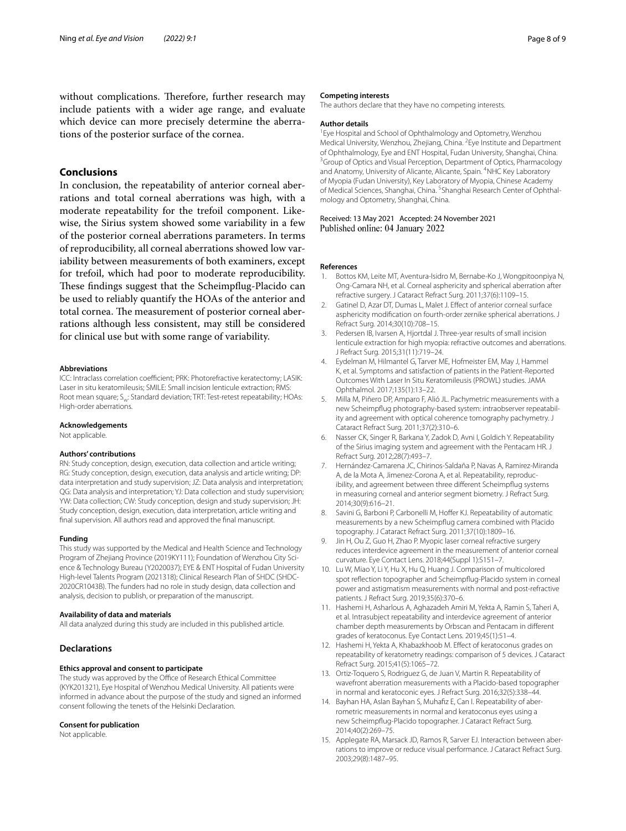without complications. Therefore, further research may include patients with a wider age range, and evaluate which device can more precisely determine the aberrations of the posterior surface of the cornea.

## **Conclusions**

In conclusion, the repeatability of anterior corneal aberrations and total corneal aberrations was high, with a moderate repeatability for the trefoil component. Likewise, the Sirius system showed some variability in a few of the posterior corneal aberrations parameters. In terms of reproducibility, all corneal aberrations showed low variability between measurements of both examiners, except for trefoil, which had poor to moderate reproducibility. These findings suggest that the Scheimpflug-Placido can be used to reliably quantify the HOAs of the anterior and total cornea. The measurement of posterior corneal aberrations although less consistent, may still be considered for clinical use but with some range of variability.

#### **Abbreviations**

ICC: Intraclass correlation coefficient; PRK: Photorefractive keratectomy; LASIK: Laser in situ keratomileusis; SMILE: Small incision lenticule extraction; RMS: Root mean square; S<sub>w</sub>: Standard deviation; TRT: Test-retest repeatability; HOAs: High-order aberrations.

#### **Acknowledgements**

Not applicable.

#### **Authors' contributions**

RN: Study conception, design, execution, data collection and article writing; RG: Study conception, design, execution, data analysis and article writing; DP: data interpretation and study supervision; JZ: Data analysis and interpretation; QG: Data analysis and interpretation; YJ: Data collection and study supervision; YW: Data collection; CW: Study conception, design and study supervision; JH: Study conception, design, execution, data interpretation, article writing and fnal supervision. All authors read and approved the fnal manuscript.

#### **Funding**

This study was supported by the Medical and Health Science and Technology Program of Zhejiang Province (2019KY111); Foundation of Wenzhou City Science & Technology Bureau (Y2020037); EYE & ENT Hospital of Fudan University High-level Talents Program (2021318); Clinical Research Plan of SHDC (SHDC-2020CR1043B). The funders had no role in study design, data collection and analysis, decision to publish, or preparation of the manuscript.

#### **Availability of data and materials**

All data analyzed during this study are included in this published article.

## **Declarations**

#### **Ethics approval and consent to participate**

The study was approved by the Office of Research Ethical Committee (KYK201321), Eye Hospital of Wenzhou Medical University. All patients were informed in advance about the purpose of the study and signed an informed consent following the tenets of the Helsinki Declaration.

#### **Consent for publication**

Not applicable.

#### **Competing interests**

The authors declare that they have no competing interests.

#### **Author details**

<sup>1</sup> Eye Hospital and School of Ophthalmology and Optometry, Wenzhou Medical University, Wenzhou, Zhejiang, China. <sup>2</sup> Eye Institute and Department of Ophthalmology, Eye and ENT Hospital, Fudan University, Shanghai, China. 3 <sup>3</sup> Group of Optics and Visual Perception, Department of Optics, Pharmacology and Anatomy, University of Alicante, Alicante, Spain. <sup>4</sup>NHC Key Laboratory of Myopia (Fudan University), Key Laboratory of Myopia, Chinese Academy of Medical Sciences, Shanghai, China. <sup>5</sup>Shanghai Research Center of Ophthalmology and Optometry, Shanghai, China.

## Received: 13 May 2021 Accepted: 24 November 2021<br>Published online: 04 January 2022

#### **References**

- <span id="page-7-0"></span>Bottos KM, Leite MT, Aventura-Isidro M, Bernabe-Ko J, Wongpitoonpiya N, Ong-Camara NH, et al. Corneal asphericity and spherical aberration after refractive surgery. J Cataract Refract Surg. 2011;37(6):1109–15.
- <span id="page-7-1"></span>Gatinel D, Azar DT, Dumas L, Malet J. Effect of anterior corneal surface asphericity modifcation on fourth-order zernike spherical aberrations. J Refract Surg. 2014;30(10):708–15.
- <span id="page-7-2"></span>3. Pedersen IB, Ivarsen A, Hjortdal J. Three-year results of small incision lenticule extraction for high myopia: refractive outcomes and aberrations. J Refract Surg. 2015;31(11):719–24.
- <span id="page-7-3"></span>4. Eydelman M, Hilmantel G, Tarver ME, Hofmeister EM, May J, Hammel K, et al. Symptoms and satisfaction of patients in the Patient-Reported Outcomes With Laser In Situ Keratomileusis (PROWL) studies. JAMA Ophthalmol. 2017;135(1):13–22.
- <span id="page-7-4"></span>5. Milla M, Piñero DP, Amparo F, Alió JL. Pachymetric measurements with a new Scheimpfug photography-based system: intraobserver repeatability and agreement with optical coherence tomography pachymetry. J Cataract Refract Surg. 2011;37(2):310–6.
- 6. Nasser CK, Singer R, Barkana Y, Zadok D, Avni I, Goldich Y. Repeatability of the Sirius imaging system and agreement with the Pentacam HR. J Refract Surg. 2012;28(7):493–7.
- <span id="page-7-11"></span>7. Hernández-Camarena JC, Chirinos-Saldaña P, Navas A, Ramirez-Miranda A, de la Mota A, Jimenez-Corona A, et al. Repeatability, reproducibility, and agreement between three diferent Scheimpfug systems in measuring corneal and anterior segment biometry. J Refract Surg. 2014;30(9):616–21.
- <span id="page-7-5"></span>8. Savini G, Barboni P, Carbonelli M, Hoffer KJ. Repeatability of automatic measurements by a new Scheimpfug camera combined with Placido topography. J Cataract Refract Surg. 2011;37(10):1809–16.
- <span id="page-7-6"></span>9. Jin H, Ou Z, Guo H, Zhao P. Myopic laser corneal refractive surgery reduces interdevice agreement in the measurement of anterior corneal curvature. Eye Contact Lens. 2018;44(Suppl 1):S151–7.
- 10. Lu W, Miao Y, Li Y, Hu X, Hu Q, Huang J. Comparison of multicolored spot refection topographer and Scheimpfug-Placido system in corneal power and astigmatism measurements with normal and post-refractive patients. J Refract Surg. 2019;35(6):370–6.
- 11. Hashemi H, Asharlous A, Aghazadeh Amiri M, Yekta A, Ramin S, Taheri A, et al. Intrasubject repeatability and interdevice agreement of anterior chamber depth measurements by Orbscan and Pentacam in diferent grades of keratoconus. Eye Contact Lens. 2019;45(1):51–4.
- <span id="page-7-7"></span>12. Hashemi H, Yekta A, Khabazkhoob M. Efect of keratoconus grades on repeatability of keratometry readings: comparison of 5 devices. J Cataract Refract Surg. 2015;41(5):1065–72.
- <span id="page-7-8"></span>13. Ortiz-Toquero S, Rodriguez G, de Juan V, Martin R. Repeatability of wavefront aberration measurements with a Placido-based topographer in normal and keratoconic eyes. J Refract Surg. 2016;32(5):338–44.
- <span id="page-7-9"></span>14. Bayhan HA, Aslan Bayhan S, Muhafiz E, Can I. Repeatability of aberrometric measurements in normal and keratoconus eyes using a new Scheimpfug-Placido topographer. J Cataract Refract Surg. 2014;40(2):269–75.
- <span id="page-7-10"></span>15. Applegate RA, Marsack JD, Ramos R, Sarver EJ. Interaction between aberrations to improve or reduce visual performance. J Cataract Refract Surg. 2003;29(8):1487–95.